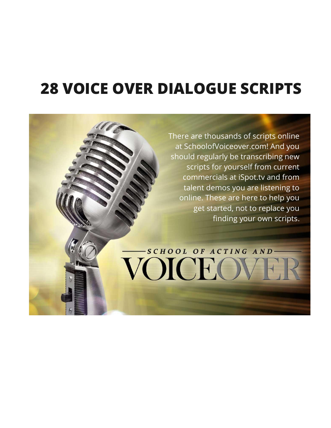# **28 VOICE OVER DIALOGUE SCRIPTS**

There are thousands of scripts online at SchoolofVoiceover.com! And you should regularly be transcribing new scripts for yourself from current commercials at iSpot.tv and from talent demos you are listening to online. These are here to help you get started, not to replace you finding your own scripts.

-SCHOOL OF ACTING AND-

VOICEO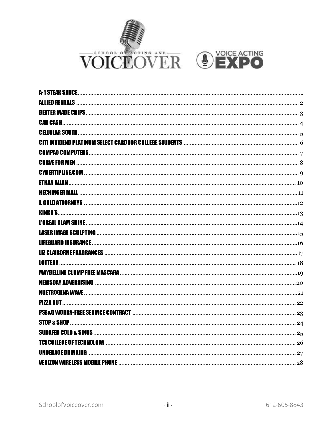

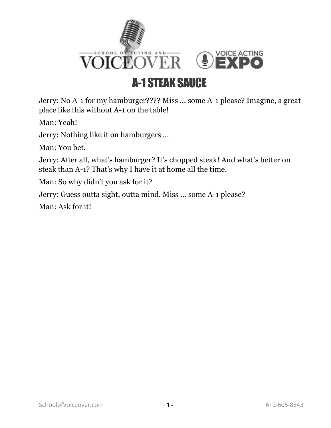

## A-1 STEAK SAUCE

<span id="page-2-0"></span>Jerry: No A-1 for my hamburger???? Miss ... some A-1 please? Imagine, a great place like this without A-1 on the table!

Man: Yeah!

Jerry: Nothing like it on hamburgers ...

Man: You bet.

Jerry: After all, what's hamburger? It's chopped steak! And what's better on steak than A-1? That's why I have it at home all the time.

Man: So why didn't you ask for it?

Jerry: Guess outta sight, outta mind. Miss ... some A-1 please?

Man: Ask for it!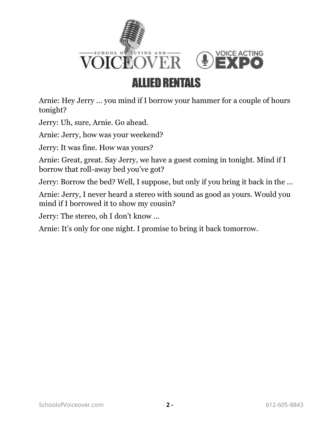

#### <span id="page-3-0"></span>Arnie: Hey Jerry ... you mind if I borrow your hammer for a couple of hours tonight?

Jerry: Uh, sure, Arnie. Go ahead.

Arnie: Jerry, how was your weekend?

Jerry: It was fine. How was yours?

Arnie: Great, great. Say Jerry, we have a guest coming in tonight. Mind if I borrow that roll-away bed you've got?

Jerry: Borrow the bed? Well, I suppose, but only if you bring it back in the ...

Arnie: Jerry, I never heard a stereo with sound as good as yours. Would you mind if I borrowed it to show my cousin?

Jerry: The stereo, oh I don't know ...

Arnie: It's only for one night. I promise to bring it back tomorrow.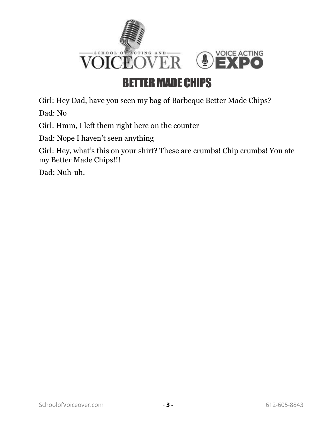

#### BETTER MADE CHIPS

<span id="page-4-0"></span>Girl: Hey Dad, have you seen my bag of Barbeque Better Made Chips?

Dad: No

Girl: Hmm, I left them right here on the counter

Dad: Nope I haven't seen anything

Girl: Hey, what's this on your shirt? These are crumbs! Chip crumbs! You ate my Better Made Chips!!!

Dad: Nuh-uh.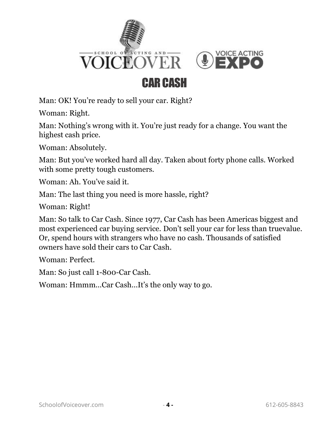



### CAR CASH

<span id="page-5-0"></span>Man: OK! You're ready to sell your car. Right?

Woman: Right.

Man: Nothing's wrong with it. You're just ready for a change. You want the highest cash price.

Woman: Absolutely.

Man: But you've worked hard all day. Taken about forty phone calls. Worked with some pretty tough customers.

Woman: Ah. You've said it.

Man: The last thing you need is more hassle, right?

Woman: Right!

Man: So talk to Car Cash. Since 1977, Car Cash has been Americas biggest and most experienced car buying service. Don't sell your car for less than truevalue. Or, spend hours with strangers who have no cash. Thousands of satisfied owners have sold their cars to Car Cash.

Woman: Perfect.

Man: So just call 1-800-Car Cash.

Woman: Hmmm...Car Cash...It's the only way to go.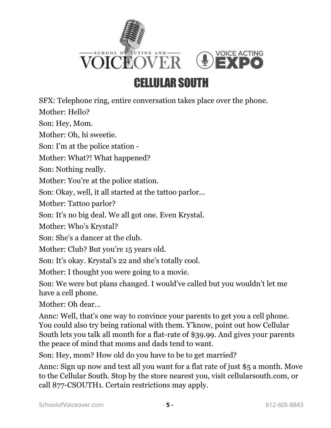

### CELLULAR SOUTH

<span id="page-6-0"></span>SFX: Telephone ring, entire conversation takes place over the phone.

Mother: Hello?

Son: Hey, Mom.

Mother: Oh, hi sweetie.

Son: I'm at the police station -

Mother: What?! What happened?

Son: Nothing really.

Mother: You're at the police station.

Son: Okay, well, it all started at the tattoo parlor...

Mother: Tattoo parlor?

Son: It's no big deal. We all got one. Even Krystal.

Mother: Who's Krystal?

Son: She's a dancer at the club.

Mother: Club? But you're 15 years old.

Son: It's okay. Krystal's 22 and she's totally cool.

Mother: I thought you were going to a movie.

Son: We were but plans changed. I would've called but you wouldn't let me have a cell phone.

Mother: Oh dear…

Annc: Well, that's one way to convince your parents to get you a cell phone. You could also try being rational with them. Y'know, point out how Cellular South lets you talk all month for a flat-rate of \$39.99. And gives your parents the peace of mind that moms and dads tend to want.

Son: Hey, mom? How old do you have to be to get married?

Annc: Sign up now and text all you want for a flat rate of just \$5 a month. Move to the Cellular South. Stop by the store nearest you, visit cellularsouth.com, or call 877-CSOUTH1. Certain restrictions may apply.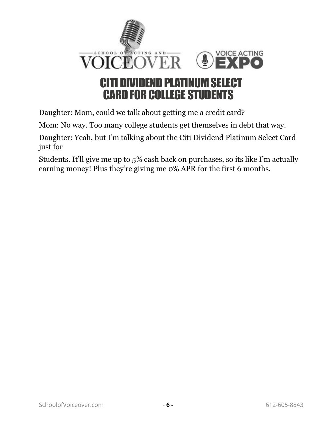

<span id="page-7-0"></span>Daughter: Mom, could we talk about getting me a credit card?

Mom: No way. Too many college students get themselves in debt that way.

Daughter: Yeah, but I'm talking about the Citi Dividend Platinum Select Card just for

Students. It'll give me up to 5% cash back on purchases, so its like I'm actually earning money! Plus they're giving me 0% APR for the first 6 months.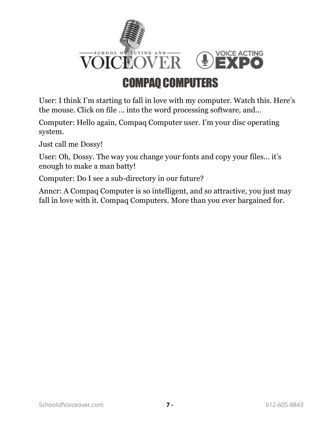

## COMPAQ COMPUTERS

<span id="page-8-0"></span>User: I think I'm starting to fall in love with my computer. Watch this. Here's the mouse. Click on file ... into the word processing software, and...

Computer: Hello again, Compaq Computer user. I'm your disc operating system.

Just call me Dossy!

User: Oh, Dossy. The way you change your fonts and copy your files... it's enough to make a man batty!

Computer: Do I see a sub-directory in our future?

Anncr: A Compaq Computer is so intelligent, and so attractive, you just may fall in love with it. Compaq Computers. More than you ever bargained for.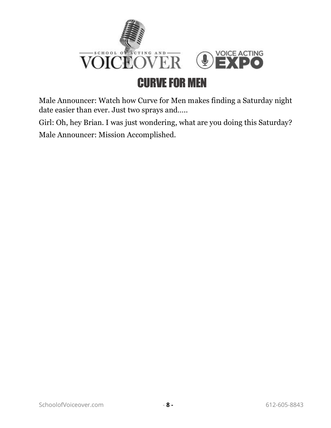<span id="page-9-0"></span>

Male Announcer: Watch how Curve for Men makes finding a Saturday night date easier than ever. Just two sprays and…..

Girl: Oh, hey Brian. I was just wondering, what are you doing this Saturday? Male Announcer: Mission Accomplished.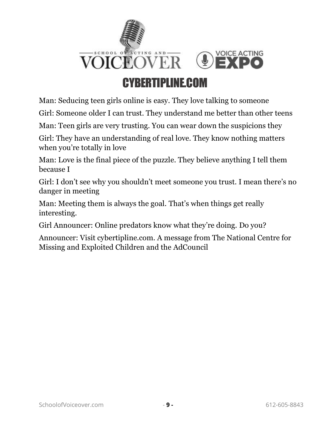

#### CYBERTIPLINE.COM

<span id="page-10-0"></span>Man: Seducing teen girls online is easy. They love talking to someone

Girl: Someone older I can trust. They understand me better than other teens

Man: Teen girls are very trusting. You can wear down the suspicions they

Girl: They have an understanding of real love. They know nothing matters when you're totally in love

Man: Love is the final piece of the puzzle. They believe anything I tell them because I

Girl: I don't see why you shouldn't meet someone you trust. I mean there's no danger in meeting

Man: Meeting them is always the goal. That's when things get really interesting.

Girl Announcer: Online predators know what they're doing. Do you?

Announcer: Visit cybertipline.com. A message from The National Centre for Missing and Exploited Children and the AdCouncil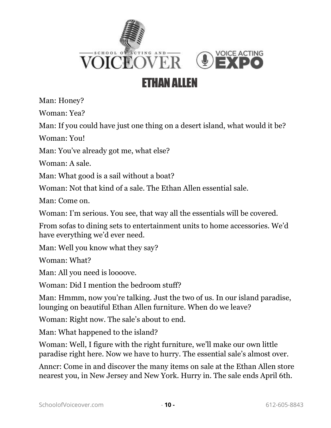

#### ETHAN ALLEN

<span id="page-11-0"></span>Man: Honey?

Woman: Yea?

Man: If you could have just one thing on a desert island, what would it be?

Woman: You!

Man: You've already got me, what else?

Woman: A sale.

Man: What good is a sail without a boat?

Woman: Not that kind of a sale. The Ethan Allen essential sale.

Man: Come on.

Woman: I'm serious. You see, that way all the essentials will be covered.

From sofas to dining sets to entertainment units to home accessories. We'd have everything we'd ever need.

Man: Well you know what they say?

Woman: What?

Man: All you need is loooove.

Woman: Did I mention the bedroom stuff?

Man: Hmmm, now you're talking. Just the two of us. In our island paradise, lounging on beautiful Ethan Allen furniture. When do we leave?

Woman: Right now. The sale's about to end.

Man: What happened to the island?

Woman: Well, I figure with the right furniture, we'll make our own little paradise right here. Now we have to hurry. The essential sale's almost over.

Anncr: Come in and discover the many items on sale at the Ethan Allen store nearest you, in New Jersey and New York. Hurry in. The sale ends April 6th.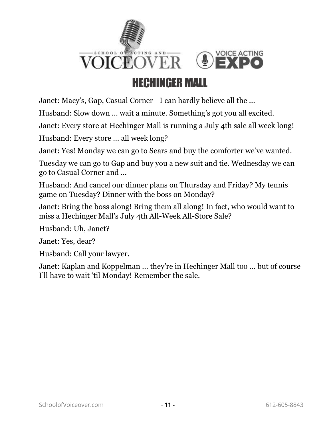

#### HECHINGER MALL

<span id="page-12-0"></span>Janet: Macy's, Gap, Casual Corner—I can hardly believe all the ...

Husband: Slow down ... wait a minute. Something's got you all excited.

Janet: Every store at Hechinger Mall is running a July 4th sale all week long!

Husband: Every store ... all week long?

Janet: Yes! Monday we can go to Sears and buy the comforter we've wanted.

Tuesday we can go to Gap and buy you a new suit and tie. Wednesday we can go to Casual Corner and ...

Husband: And cancel our dinner plans on Thursday and Friday? My tennis game on Tuesday? Dinner with the boss on Monday?

Janet: Bring the boss along! Bring them all along! In fact, who would want to miss a Hechinger Mall's July 4th All-Week All-Store Sale?

Husband: Uh, Janet?

Janet: Yes, dear?

Husband: Call your lawyer.

Janet: Kaplan and Koppelman ... they're in Hechinger Mall too ... but of course I'll have to wait 'til Monday! Remember the sale.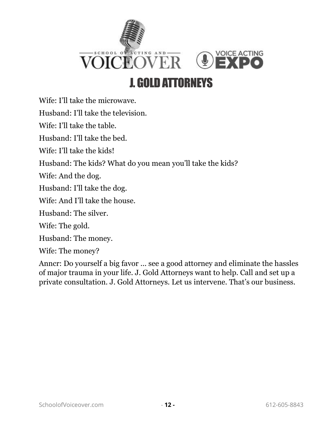

#### J. GOLD ATTORNEYS

<span id="page-13-0"></span>Wife: I'll take the microwave.

Husband: I'll take the television.

Wife: I'll take the table.

Husband: I'll take the bed.

Wife: I'll take the kids!

Husband: The kids? What do you mean you'll take the kids?

Wife: And the dog.

Husband: I'll take the dog.

Wife: And I'll take the house.

Husband: The silver.

Wife: The gold.

Husband: The money.

Wife: The money?

Anncr: Do yourself a big favor ... see a good attorney and eliminate the hassles of major trauma in your life. J. Gold Attorneys want to help. Call and set up a private consultation. J. Gold Attorneys. Let us intervene. That's our business.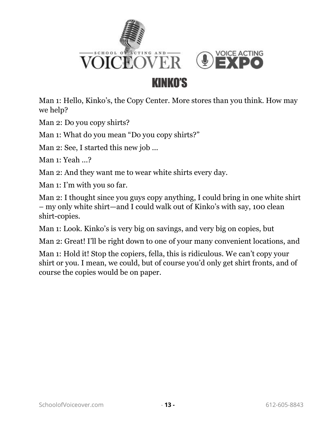

<span id="page-14-0"></span>Man 1: Hello, Kinko's, the Copy Center. More stores than you think. How may we help?

Man 2: Do you copy shirts?

Man 1: What do you mean "Do you copy shirts?"

Man 2: See, I started this new job ...

Man 1: Yeah ...?

Man 2: And they want me to wear white shirts every day.

Man 1: I'm with you so far.

Man 2: I thought since you guys copy anything, I could bring in one white shirt – my only white shirt—and I could walk out of Kinko's with say, 100 clean shirt-copies.

Man 1: Look. Kinko's is very big on savings, and very big on copies, but

Man 2: Great! I'll be right down to one of your many convenient locations, and

Man 1: Hold it! Stop the copiers, fella, this is ridiculous. We can't copy your shirt or you. I mean, we could, but of course you'd only get shirt fronts, and of course the copies would be on paper.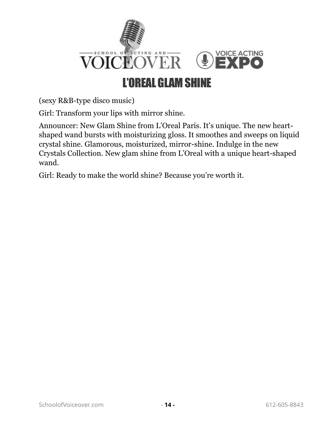

<span id="page-15-0"></span>(sexy R&B-type disco music)

Girl: Transform your lips with mirror shine.

Announcer: New Glam Shine from L'Oreal Paris. It's unique. The new heartshaped wand bursts with moisturizing gloss. It smoothes and sweeps on liquid crystal shine. Glamorous, moisturized, mirror-shine. Indulge in the new Crystals Collection. New glam shine from L'Oreal with a unique heart-shaped wand.

Girl: Ready to make the world shine? Because you're worth it.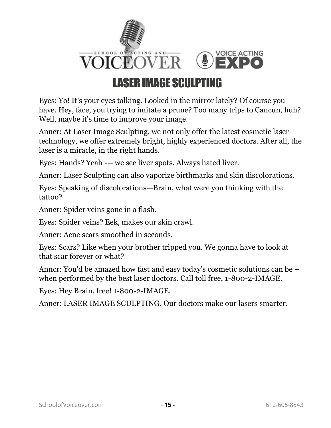

#### LASER IMAGE SCULPTING

<span id="page-16-0"></span>Eyes: Yo! It's your eyes talking. Looked in the mirror lately? Of course you have. Hey, face, you trying to imitate a prune? Too many trips to Cancun, huh? Well, maybe it's time to improve your image.

Anncr: At Laser Image Sculpting, we not only offer the latest cosmetic laser technology, we offer extremely bright, highly experienced doctors. After all, the laser is a miracle, in the right hands.

Eyes: Hands? Yeah --- we see liver spots. Always hated liver.

Anncr: Laser Sculpting can also vaporize birthmarks and skin discolorations.

Eyes: Speaking of discolorations—Brain, what were you thinking with the tattoo?

Anncr: Spider veins gone in a flash.

Eyes: Spider veins? Eek, makes our skin crawl.

Anncr: Acne scars smoothed in seconds.

Eyes: Scars? Like when your brother tripped you. We gonna have to look at that scar forever or what?

Anncr: You'd be amazed how fast and easy today's cosmetic solutions can be – when performed by the best laser doctors. Call toll free, 1-800-2-IMAGE.

Eyes: Hey Brain, free! 1-800-2-IMAGE.

Anncr: LASER IMAGE SCULPTING. Our doctors make our lasers smarter.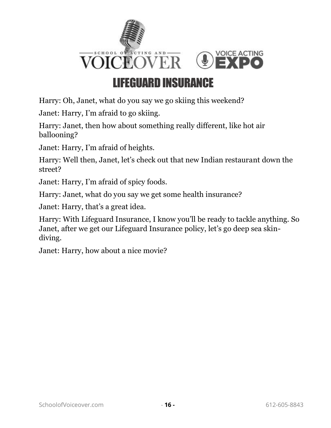

#### LIFEGUARD INSURANCE

<span id="page-17-0"></span>Harry: Oh, Janet, what do you say we go skiing this weekend?

Janet: Harry, I'm afraid to go skiing.

Harry: Janet, then how about something really different, like hot air ballooning?

Janet: Harry, I'm afraid of heights.

Harry: Well then, Janet, let's check out that new Indian restaurant down the street?

Janet: Harry, I'm afraid of spicy foods.

Harry: Janet, what do you say we get some health insurance?

Janet: Harry, that's a great idea.

Harry: With Lifeguard Insurance, I know you'll be ready to tackle anything. So Janet, after we get our Lifeguard Insurance policy, let's go deep sea skindiving.

Janet: Harry, how about a nice movie?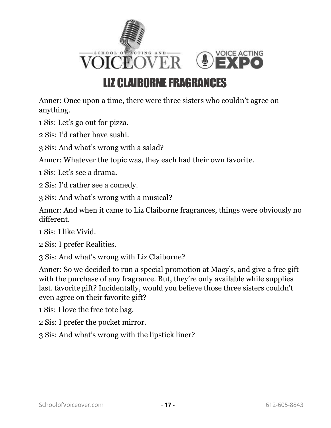

### LIZ CLAIBORNE FRAGRANCES

<span id="page-18-0"></span>Anncr: Once upon a time, there were three sisters who couldn't agree on anything.

1 Sis: Let's go out for pizza.

2 Sis: I'd rather have sushi.

3 Sis: And what's wrong with a salad?

Anncr: Whatever the topic was, they each had their own favorite.

1 Sis: Let's see a drama.

2 Sis: I'd rather see a comedy.

3 Sis: And what's wrong with a musical?

Anncr: And when it came to Liz Claiborne fragrances, things were obviously no different.

1 Sis: I like Vivid.

2 Sis: I prefer Realities.

3 Sis: And what's wrong with Liz Claiborne?

Anncr: So we decided to run a special promotion at Macy's, and give a free gift with the purchase of any fragrance. But, they're only available while supplies last. favorite gift? Incidentally, would you believe those three sisters couldn't even agree on their favorite gift?

1 Sis: I love the free tote bag.

2 Sis: I prefer the pocket mirror.

3 Sis: And what's wrong with the lipstick liner?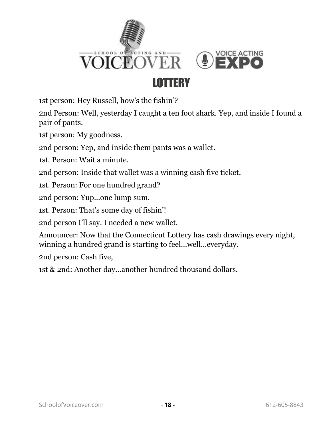

#### LOTTERY

<span id="page-19-0"></span>1st person: Hey Russell, how's the fishin'?

2nd Person: Well, yesterday I caught a ten foot shark. Yep, and inside I found a pair of pants.

1st person: My goodness.

2nd person: Yep, and inside them pants was a wallet.

1st. Person: Wait a minute.

2nd person: Inside that wallet was a winning cash five ticket.

1st. Person: For one hundred grand?

2nd person: Yup...one lump sum.

1st. Person: That's some day of fishin'!

2nd person I'll say. I needed a new wallet.

Announcer: Now that the Connecticut Lottery has cash drawings every night, winning a hundred grand is starting to feel...well...everyday.

2nd person: Cash five,

1st & 2nd: Another day...another hundred thousand dollars.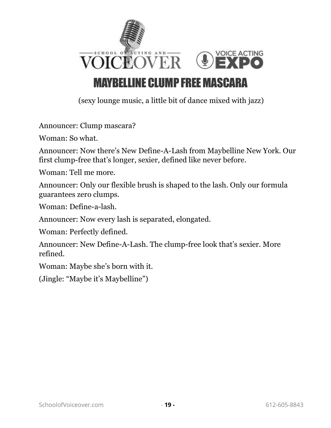

#### MAYBELLINE CLUMP FREE MASCARA

(sexy lounge music, a little bit of dance mixed with jazz)

<span id="page-20-0"></span>Announcer: Clump mascara?

Woman: So what.

Announcer: Now there's New Define-A-Lash from Maybelline New York. Our first clump-free that's longer, sexier, defined like never before.

Woman: Tell me more.

Announcer: Only our flexible brush is shaped to the lash. Only our formula guarantees zero clumps.

Woman: Define-a-lash.

Announcer: Now every lash is separated, elongated.

Woman: Perfectly defined.

Announcer: New Define-A-Lash. The clump-free look that's sexier. More refined.

Woman: Maybe she's born with it.

(Jingle: "Maybe it's Maybelline")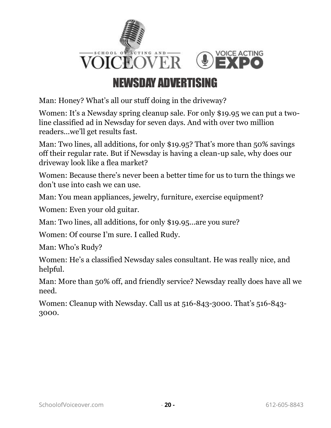

#### NEWSDAY ADVERTISING

<span id="page-21-0"></span>Man: Honey? What's all our stuff doing in the driveway?

Women: It's a Newsday spring cleanup sale. For only \$19.95 we can put a twoline classified ad in Newsday for seven days. And with over two million readers...we'll get results fast.

Man: Two lines, all additions, for only \$19.95? That's more than 50% savings off their regular rate. But if Newsday is having a clean-up sale, why does our driveway look like a flea market?

Women: Because there's never been a better time for us to turn the things we don't use into cash we can use.

Man: You mean appliances, jewelry, furniture, exercise equipment?

Women: Even your old guitar.

Man: Two lines, all additions, for only \$19.95...are you sure?

Women: Of course I'm sure. I called Rudy.

Man: Who's Rudy?

Women: He's a classified Newsday sales consultant. He was really nice, and helpful.

Man: More than 50% off, and friendly service? Newsday really does have all we need.

Women: Cleanup with Newsday. Call us at 516-843-3000. That's 516-843- 3000.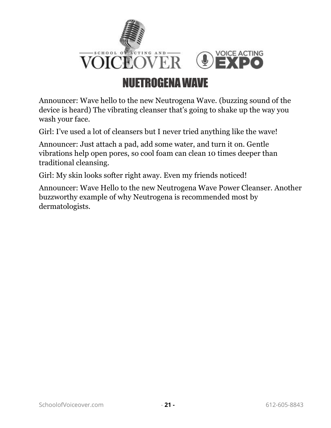

#### NUETROGENA WAVE

<span id="page-22-0"></span>Announcer: Wave hello to the new Neutrogena Wave. (buzzing sound of the device is heard) The vibrating cleanser that's going to shake up the way you wash your face.

Girl: I've used a lot of cleansers but I never tried anything like the wave!

Announcer: Just attach a pad, add some water, and turn it on. Gentle vibrations help open pores, so cool foam can clean 10 times deeper than traditional cleansing.

Girl: My skin looks softer right away. Even my friends noticed!

Announcer: Wave Hello to the new Neutrogena Wave Power Cleanser. Another buzzworthy example of why Neutrogena is recommended most by dermatologists.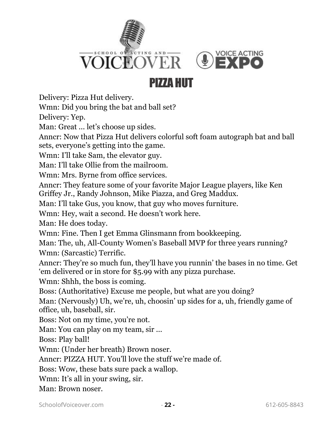

#### PIZZA HUT

<span id="page-23-0"></span>Delivery: Pizza Hut delivery.

Wmn: Did you bring the bat and ball set?

Delivery: Yep.

Man: Great ... let's choose up sides.

Anncr: Now that Pizza Hut delivers colorful soft foam autograph bat and ball sets, everyone's getting into the game.

Wmn: I'll take Sam, the elevator guy.

Man: I'll take Ollie from the mailroom.

Wmn: Mrs. Byrne from office services.

Anncr: They feature some of your favorite Major League players, like Ken Griffey Jr., Randy Johnson, Mike Piazza, and Greg Maddux.

Man: I'll take Gus, you know, that guy who moves furniture.

Wmn: Hey, wait a second. He doesn't work here.

Man: He does today.

Wmn: Fine. Then I get Emma Glinsmann from bookkeeping.

Man: The, uh, All-County Women's Baseball MVP for three years running? Wmn: (Sarcastic) Terrific.

Anncr: They're so much fun, they'll have you runnin' the bases in no time. Get 'em delivered or in store for \$5.99 with any pizza purchase.

Wmn: Shhh, the boss is coming.

Boss: (Authoritative) Excuse me people, but what are you doing?

Man: (Nervously) Uh, we're, uh, choosin' up sides for a, uh, friendly game of office, uh, baseball, sir.

Boss: Not on my time, you're not.

Man: You can play on my team, sir ...

Boss: Play ball!

Wmn: (Under her breath) Brown noser.

Anncr: PIZZA HUT. You'll love the stuff we're made of.

Boss: Wow, these bats sure pack a wallop.

Wmn: It's all in your swing, sir.

Man: Brown noser.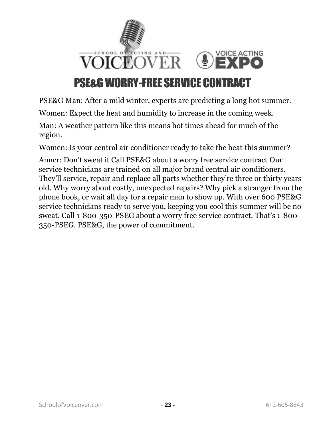

#### PSE&G WORRY-FREE SERVICE CONTRACT

<span id="page-24-0"></span>PSE&G Man: After a mild winter, experts are predicting a long hot summer.

Women: Expect the heat and humidity to increase in the coming week.

Man: A weather pattern like this means hot times ahead for much of the region.

Women: Is your central air conditioner ready to take the heat this summer?

Anncr: Don't sweat it Call PSE&G about a worry free service contract Our service technicians are trained on all major brand central air conditioners. They'll service, repair and replace all parts whether they're three or thirty years old. Why worry about costly, unexpected repairs? Why pick a stranger from the phone book, or wait all day for a repair man to show up. With over 600 PSE&G service technicians ready to serve you, keeping you cool this summer will be no sweat. Call 1-800-350-PSEG about a worry free service contract. That's 1-800- 350-PSEG. PSE&G, the power of commitment.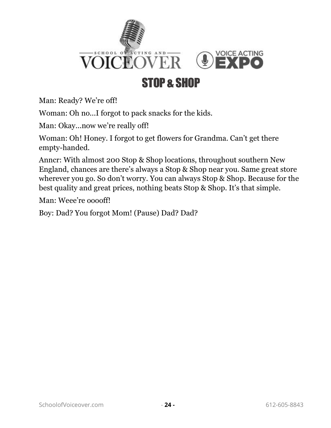

### STOP & SHOP

<span id="page-25-0"></span>Man: Ready? We're off!

Woman: Oh no...I forgot to pack snacks for the kids.

Man: Okay...now we're really off!

Woman: Oh! Honey. I forgot to get flowers for Grandma. Can't get there empty-handed.

Anncr: With almost 200 Stop & Shop locations, throughout southern New England, chances are there's always a Stop & Shop near you. Same great store wherever you go. So don't worry. You can always Stop & Shop. Because for the best quality and great prices, nothing beats Stop & Shop. It's that simple.

Man: Weee're ooooff!

Boy: Dad? You forgot Mom! (Pause) Dad? Dad?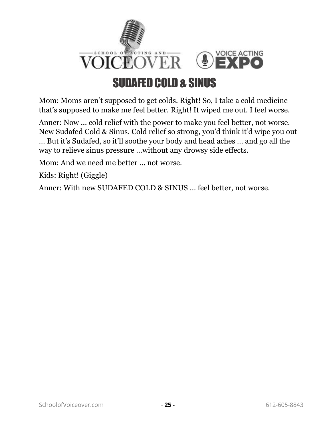

<span id="page-26-0"></span>Mom: Moms aren't supposed to get colds. Right! So, I take a cold medicine that's supposed to make me feel better. Right! It wiped me out. I feel worse.

Anncr: Now ... cold relief with the power to make you feel better, not worse. New Sudafed Cold & Sinus. Cold relief so strong, you'd think it'd wipe you out

... But it's Sudafed, so it'll soothe your body and head aches ... and go all the way to relieve sinus pressure ...without any drowsy side effects.

Mom: And we need me better ... not worse.

Kids: Right! (Giggle)

Anncr: With new SUDAFED COLD & SINUS ... feel better, not worse.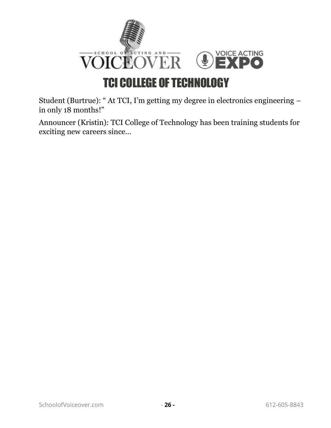

#### TCI COLLEGE OF TECHNOLOGY

<span id="page-27-0"></span>Student (Burtrue): " At TCI, I'm getting my degree in electronics engineering – in only 18 months!"

Announcer (Kristin): TCI College of Technology has been training students for exciting new careers since…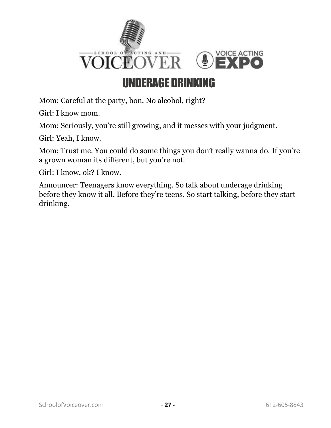

#### UNDERAGE DRINKING

<span id="page-28-0"></span>Mom: Careful at the party, hon. No alcohol, right?

Girl: I know mom.

Mom: Seriously, you're still growing, and it messes with your judgment.

Girl: Yeah, I know.

Mom: Trust me. You could do some things you don't really wanna do. If you're a grown woman its different, but you're not.

Girl: I know, ok? I know.

Announcer: Teenagers know everything. So talk about underage drinking before they know it all. Before they're teens. So start talking, before they start drinking.